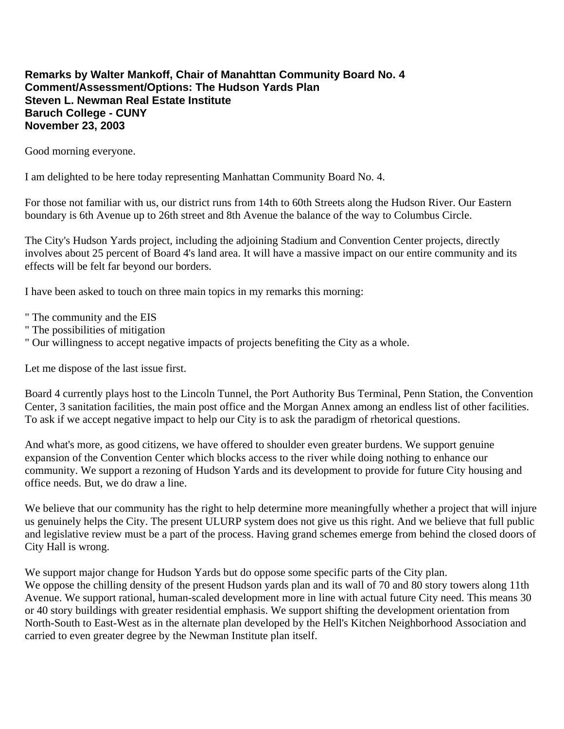## **Remarks by Walter Mankoff, Chair of Manahttan Community Board No. 4 Comment/Assessment/Options: The Hudson Yards Plan Steven L. Newman Real Estate Institute Baruch College - CUNY November 23, 2003**

Good morning everyone.

I am delighted to be here today representing Manhattan Community Board No. 4.

For those not familiar with us, our district runs from 14th to 60th Streets along the Hudson River. Our Eastern boundary is 6th Avenue up to 26th street and 8th Avenue the balance of the way to Columbus Circle.

The City's Hudson Yards project, including the adjoining Stadium and Convention Center projects, directly involves about 25 percent of Board 4's land area. It will have a massive impact on our entire community and its effects will be felt far beyond our borders.

I have been asked to touch on three main topics in my remarks this morning:

- " The community and the EIS
- " The possibilities of mitigation
- " Our willingness to accept negative impacts of projects benefiting the City as a whole.

Let me dispose of the last issue first.

Board 4 currently plays host to the Lincoln Tunnel, the Port Authority Bus Terminal, Penn Station, the Convention Center, 3 sanitation facilities, the main post office and the Morgan Annex among an endless list of other facilities. To ask if we accept negative impact to help our City is to ask the paradigm of rhetorical questions.

And what's more, as good citizens, we have offered to shoulder even greater burdens. We support genuine expansion of the Convention Center which blocks access to the river while doing nothing to enhance our community. We support a rezoning of Hudson Yards and its development to provide for future City housing and office needs. But, we do draw a line.

We believe that our community has the right to help determine more meaningfully whether a project that will injure us genuinely helps the City. The present ULURP system does not give us this right. And we believe that full public and legislative review must be a part of the process. Having grand schemes emerge from behind the closed doors of City Hall is wrong.

We support major change for Hudson Yards but do oppose some specific parts of the City plan. We oppose the chilling density of the present Hudson yards plan and its wall of 70 and 80 story towers along 11th Avenue. We support rational, human-scaled development more in line with actual future City need. This means 30 or 40 story buildings with greater residential emphasis. We support shifting the development orientation from North-South to East-West as in the alternate plan developed by the Hell's Kitchen Neighborhood Association and carried to even greater degree by the Newman Institute plan itself.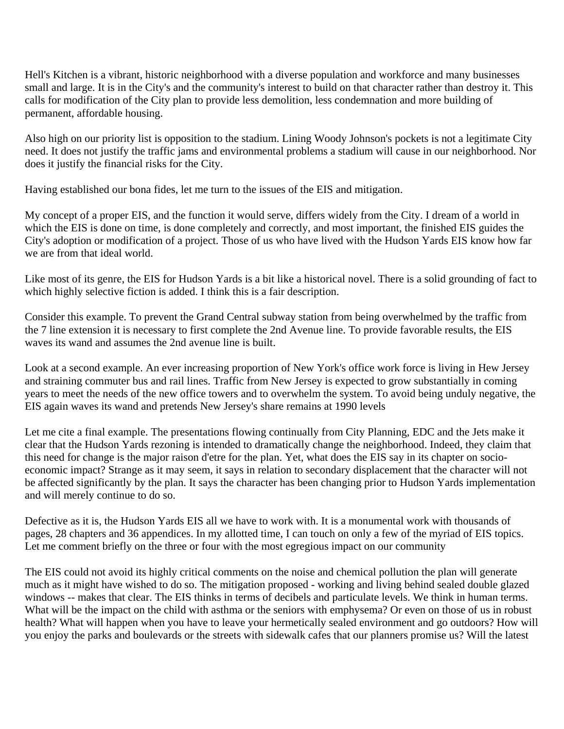Hell's Kitchen is a vibrant, historic neighborhood with a diverse population and workforce and many businesses small and large. It is in the City's and the community's interest to build on that character rather than destroy it. This calls for modification of the City plan to provide less demolition, less condemnation and more building of permanent, affordable housing.

Also high on our priority list is opposition to the stadium. Lining Woody Johnson's pockets is not a legitimate City need. It does not justify the traffic jams and environmental problems a stadium will cause in our neighborhood. Nor does it justify the financial risks for the City.

Having established our bona fides, let me turn to the issues of the EIS and mitigation.

My concept of a proper EIS, and the function it would serve, differs widely from the City. I dream of a world in which the EIS is done on time, is done completely and correctly, and most important, the finished EIS guides the City's adoption or modification of a project. Those of us who have lived with the Hudson Yards EIS know how far we are from that ideal world.

Like most of its genre, the EIS for Hudson Yards is a bit like a historical novel. There is a solid grounding of fact to which highly selective fiction is added. I think this is a fair description.

Consider this example. To prevent the Grand Central subway station from being overwhelmed by the traffic from the 7 line extension it is necessary to first complete the 2nd Avenue line. To provide favorable results, the EIS waves its wand and assumes the 2nd avenue line is built.

Look at a second example. An ever increasing proportion of New York's office work force is living in Hew Jersey and straining commuter bus and rail lines. Traffic from New Jersey is expected to grow substantially in coming years to meet the needs of the new office towers and to overwhelm the system. To avoid being unduly negative, the EIS again waves its wand and pretends New Jersey's share remains at 1990 levels

Let me cite a final example. The presentations flowing continually from City Planning, EDC and the Jets make it clear that the Hudson Yards rezoning is intended to dramatically change the neighborhood. Indeed, they claim that this need for change is the major raison d'etre for the plan. Yet, what does the EIS say in its chapter on socioeconomic impact? Strange as it may seem, it says in relation to secondary displacement that the character will not be affected significantly by the plan. It says the character has been changing prior to Hudson Yards implementation and will merely continue to do so.

Defective as it is, the Hudson Yards EIS all we have to work with. It is a monumental work with thousands of pages, 28 chapters and 36 appendices. In my allotted time, I can touch on only a few of the myriad of EIS topics. Let me comment briefly on the three or four with the most egregious impact on our community

The EIS could not avoid its highly critical comments on the noise and chemical pollution the plan will generate much as it might have wished to do so. The mitigation proposed - working and living behind sealed double glazed windows -- makes that clear. The EIS thinks in terms of decibels and particulate levels. We think in human terms. What will be the impact on the child with asthma or the seniors with emphysema? Or even on those of us in robust health? What will happen when you have to leave your hermetically sealed environment and go outdoors? How will you enjoy the parks and boulevards or the streets with sidewalk cafes that our planners promise us? Will the latest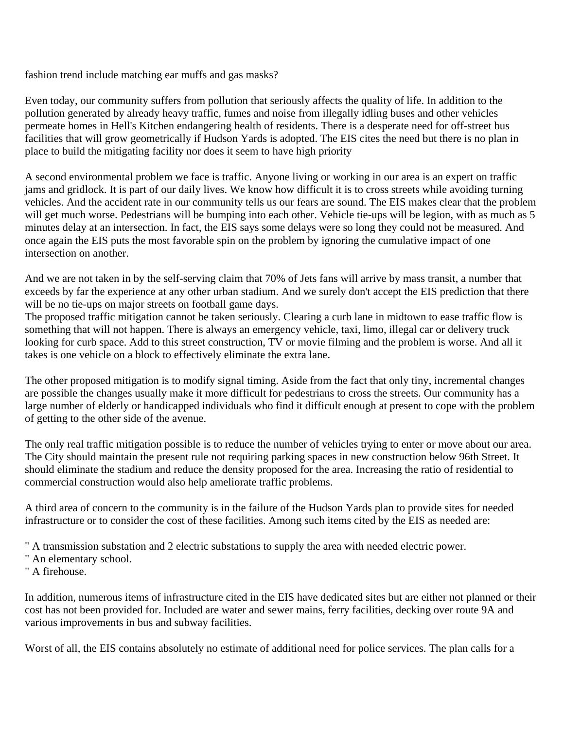fashion trend include matching ear muffs and gas masks?

Even today, our community suffers from pollution that seriously affects the quality of life. In addition to the pollution generated by already heavy traffic, fumes and noise from illegally idling buses and other vehicles permeate homes in Hell's Kitchen endangering health of residents. There is a desperate need for off-street bus facilities that will grow geometrically if Hudson Yards is adopted. The EIS cites the need but there is no plan in place to build the mitigating facility nor does it seem to have high priority

A second environmental problem we face is traffic. Anyone living or working in our area is an expert on traffic jams and gridlock. It is part of our daily lives. We know how difficult it is to cross streets while avoiding turning vehicles. And the accident rate in our community tells us our fears are sound. The EIS makes clear that the problem will get much worse. Pedestrians will be bumping into each other. Vehicle tie-ups will be legion, with as much as 5 minutes delay at an intersection. In fact, the EIS says some delays were so long they could not be measured. And once again the EIS puts the most favorable spin on the problem by ignoring the cumulative impact of one intersection on another.

And we are not taken in by the self-serving claim that 70% of Jets fans will arrive by mass transit, a number that exceeds by far the experience at any other urban stadium. And we surely don't accept the EIS prediction that there will be no tie-ups on major streets on football game days.

The proposed traffic mitigation cannot be taken seriously. Clearing a curb lane in midtown to ease traffic flow is something that will not happen. There is always an emergency vehicle, taxi, limo, illegal car or delivery truck looking for curb space. Add to this street construction, TV or movie filming and the problem is worse. And all it takes is one vehicle on a block to effectively eliminate the extra lane.

The other proposed mitigation is to modify signal timing. Aside from the fact that only tiny, incremental changes are possible the changes usually make it more difficult for pedestrians to cross the streets. Our community has a large number of elderly or handicapped individuals who find it difficult enough at present to cope with the problem of getting to the other side of the avenue.

The only real traffic mitigation possible is to reduce the number of vehicles trying to enter or move about our area. The City should maintain the present rule not requiring parking spaces in new construction below 96th Street. It should eliminate the stadium and reduce the density proposed for the area. Increasing the ratio of residential to commercial construction would also help ameliorate traffic problems.

A third area of concern to the community is in the failure of the Hudson Yards plan to provide sites for needed infrastructure or to consider the cost of these facilities. Among such items cited by the EIS as needed are:

" A transmission substation and 2 electric substations to supply the area with needed electric power.

" An elementary school.

" A firehouse.

In addition, numerous items of infrastructure cited in the EIS have dedicated sites but are either not planned or their cost has not been provided for. Included are water and sewer mains, ferry facilities, decking over route 9A and various improvements in bus and subway facilities.

Worst of all, the EIS contains absolutely no estimate of additional need for police services. The plan calls for a